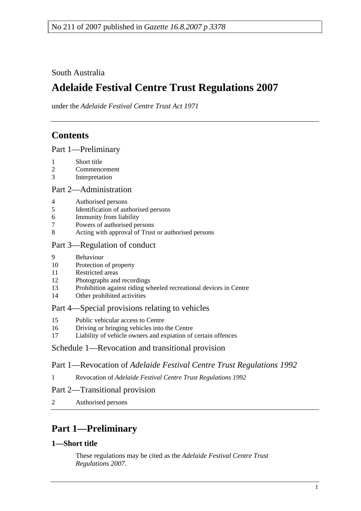# South Australia

# **Adelaide Festival Centre Trust Regulations 2007**

under the *Adelaide Festival Centre Trust Act 1971*

# **Contents**

Part 1—Preliminary

- 1 Short title
- 2 Commencement
- 3 Interpretation

### Part 2—Administration

- 4 Authorised persons
- 5 Identification of authorised persons
- 6 Immunity from liability
- 7 Powers of authorised persons
- 8 Acting with approval of Trust or authorised persons

## Part 3—Regulation of conduct

- 9 Behaviour
- 10 Protection of property
- 11 Restricted areas
- 12 Photographs and recordings
- 13 Prohibition against riding wheeled recreational devices in Centre
- 14 Other prohibited activities

### Part 4—Special provisions relating to vehicles

- 15 Public vehicular access to Centre
- 16 Driving or bringing vehicles into the Centre
- 17 Liability of vehicle owners and expiation of certain offences

# Schedule 1—Revocation and transitional provision

# Part 1—Revocation of *Adelaide Festival Centre Trust Regulations 1992*

1 Revocation of *Adelaide Festival Centre Trust Regulations 1992*

# Part 2—Transitional provision

2 Authorised persons

# **Part 1—Preliminary**

# **1—Short title**

These regulations may be cited as the *Adelaide Festival Centre Trust Regulations 2007*.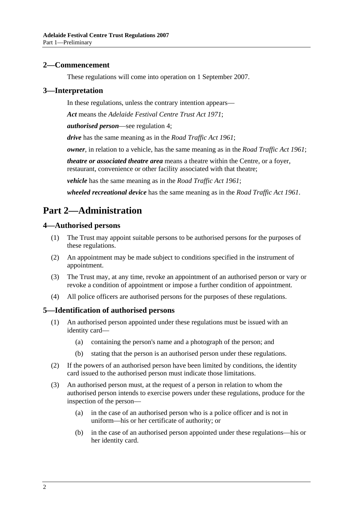### **2—Commencement**

These regulations will come into operation on 1 September 2007.

#### **3—Interpretation**

In these regulations, unless the contrary intention appears—

*Act* means the *Adelaide Festival Centre Trust Act 1971*;

*authorised person*—see regulation 4;

*drive* has the same meaning as in the *Road Traffic Act 1961*;

*owner*, in relation to a vehicle, has the same meaning as in the *Road Traffic Act 1961*;

*theatre or associated theatre area* means a theatre within the Centre, or a foyer, restaurant, convenience or other facility associated with that theatre;

*vehicle* has the same meaning as in the *Road Traffic Act 1961*;

*wheeled recreational device* has the same meaning as in the *Road Traffic Act 1961*.

# **Part 2—Administration**

### **4—Authorised persons**

- (1) The Trust may appoint suitable persons to be authorised persons for the purposes of these regulations.
- (2) An appointment may be made subject to conditions specified in the instrument of appointment.
- (3) The Trust may, at any time, revoke an appointment of an authorised person or vary or revoke a condition of appointment or impose a further condition of appointment.
- (4) All police officers are authorised persons for the purposes of these regulations.

### **5—Identification of authorised persons**

- (1) An authorised person appointed under these regulations must be issued with an identity card—
	- (a) containing the person's name and a photograph of the person; and
	- (b) stating that the person is an authorised person under these regulations.
- (2) If the powers of an authorised person have been limited by conditions, the identity card issued to the authorised person must indicate those limitations.
- (3) An authorised person must, at the request of a person in relation to whom the authorised person intends to exercise powers under these regulations, produce for the inspection of the person—
	- (a) in the case of an authorised person who is a police officer and is not in uniform—his or her certificate of authority; or
	- (b) in the case of an authorised person appointed under these regulations—his or her identity card.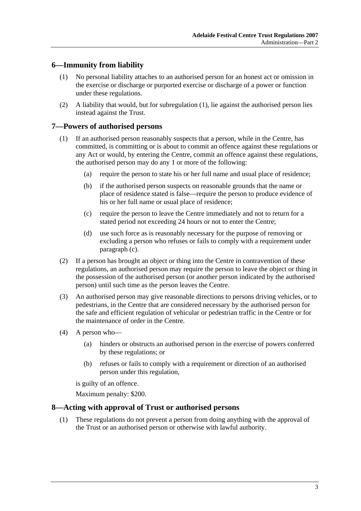## **6—Immunity from liability**

- (1) No personal liability attaches to an authorised person for an honest act or omission in the exercise or discharge or purported exercise or discharge of a power or function under these regulations.
- (2) A liability that would, but for subregulation (1), lie against the authorised person lies instead against the Trust.

### **7—Powers of authorised persons**

- (1) If an authorised person reasonably suspects that a person, while in the Centre, has committed, is committing or is about to commit an offence against these regulations or any Act or would, by entering the Centre, commit an offence against these regulations, the authorised person may do any 1 or more of the following:
	- (a) require the person to state his or her full name and usual place of residence;
	- (b) if the authorised person suspects on reasonable grounds that the name or place of residence stated is false—require the person to produce evidence of his or her full name or usual place of residence;
	- (c) require the person to leave the Centre immediately and not to return for a stated period not exceeding 24 hours or not to enter the Centre;
	- (d) use such force as is reasonably necessary for the purpose of removing or excluding a person who refuses or fails to comply with a requirement under paragraph (c).
- (2) If a person has brought an object or thing into the Centre in contravention of these regulations, an authorised person may require the person to leave the object or thing in the possession of the authorised person (or another person indicated by the authorised person) until such time as the person leaves the Centre.
- (3) An authorised person may give reasonable directions to persons driving vehicles, or to pedestrians, in the Centre that are considered necessary by the authorised person for the safe and efficient regulation of vehicular or pedestrian traffic in the Centre or for the maintenance of order in the Centre.
- (4) A person who—
	- (a) hinders or obstructs an authorised person in the exercise of powers conferred by these regulations; or
	- (b) refuses or fails to comply with a requirement or direction of an authorised person under this regulation,

is guilty of an offence.

Maximum penalty: \$200.

#### **8—Acting with approval of Trust or authorised persons**

 (1) These regulations do not prevent a person from doing anything with the approval of the Trust or an authorised person or otherwise with lawful authority.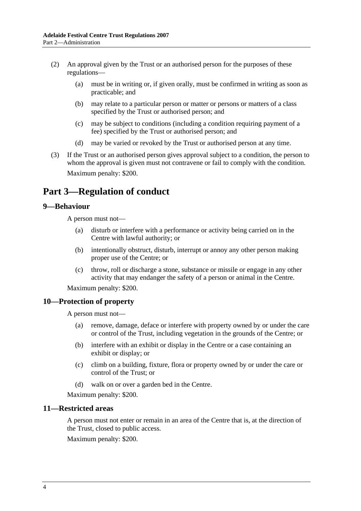- (2) An approval given by the Trust or an authorised person for the purposes of these regulations—
	- (a) must be in writing or, if given orally, must be confirmed in writing as soon as practicable; and
	- (b) may relate to a particular person or matter or persons or matters of a class specified by the Trust or authorised person; and
	- (c) may be subject to conditions (including a condition requiring payment of a fee) specified by the Trust or authorised person; and
	- (d) may be varied or revoked by the Trust or authorised person at any time.
- (3) If the Trust or an authorised person gives approval subject to a condition, the person to whom the approval is given must not contravene or fail to comply with the condition. Maximum penalty: \$200.

# **Part 3—Regulation of conduct**

### **9—Behaviour**

A person must not—

- (a) disturb or interfere with a performance or activity being carried on in the Centre with lawful authority; or
- (b) intentionally obstruct, disturb, interrupt or annoy any other person making proper use of the Centre; or
- (c) throw, roll or discharge a stone, substance or missile or engage in any other activity that may endanger the safety of a person or animal in the Centre.

Maximum penalty: \$200.

### **10—Protection of property**

A person must not—

- (a) remove, damage, deface or interfere with property owned by or under the care or control of the Trust, including vegetation in the grounds of the Centre; or
- (b) interfere with an exhibit or display in the Centre or a case containing an exhibit or display; or
- (c) climb on a building, fixture, flora or property owned by or under the care or control of the Trust; or
- (d) walk on or over a garden bed in the Centre.

Maximum penalty: \$200.

### **11—Restricted areas**

A person must not enter or remain in an area of the Centre that is, at the direction of the Trust, closed to public access.

Maximum penalty: \$200.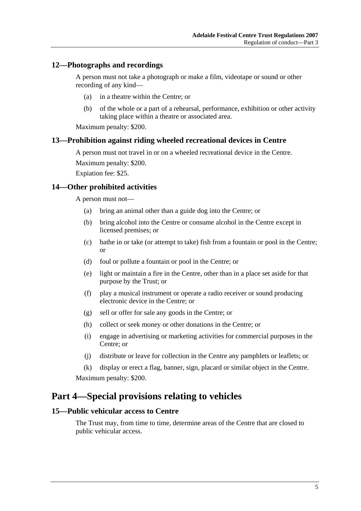### **12—Photographs and recordings**

A person must not take a photograph or make a film, videotape or sound or other recording of any kind—

- (a) in a theatre within the Centre; or
- (b) of the whole or a part of a rehearsal, performance, exhibition or other activity taking place within a theatre or associated area.

Maximum penalty: \$200.

#### **13—Prohibition against riding wheeled recreational devices in Centre**

A person must not travel in or on a wheeled recreational device in the Centre. Maximum penalty: \$200.

Expiation fee: \$25.

#### **14—Other prohibited activities**

A person must not—

- (a) bring an animal other than a guide dog into the Centre; or
- (b) bring alcohol into the Centre or consume alcohol in the Centre except in licensed premises; or
- (c) bathe in or take (or attempt to take) fish from a fountain or pool in the Centre; or
- (d) foul or pollute a fountain or pool in the Centre; or
- (e) light or maintain a fire in the Centre, other than in a place set aside for that purpose by the Trust; or
- (f) play a musical instrument or operate a radio receiver or sound producing electronic device in the Centre; or
- (g) sell or offer for sale any goods in the Centre; or
- (h) collect or seek money or other donations in the Centre; or
- (i) engage in advertising or marketing activities for commercial purposes in the Centre; or
- (j) distribute or leave for collection in the Centre any pamphlets or leaflets; or

 (k) display or erect a flag, banner, sign, placard or similar object in the Centre. Maximum penalty: \$200.

# **Part 4—Special provisions relating to vehicles**

### **15—Public vehicular access to Centre**

The Trust may, from time to time, determine areas of the Centre that are closed to public vehicular access.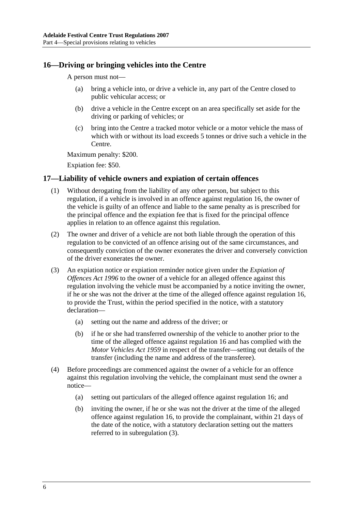### **16—Driving or bringing vehicles into the Centre**

A person must not—

- (a) bring a vehicle into, or drive a vehicle in, any part of the Centre closed to public vehicular access; or
- (b) drive a vehicle in the Centre except on an area specifically set aside for the driving or parking of vehicles; or
- (c) bring into the Centre a tracked motor vehicle or a motor vehicle the mass of which with or without its load exceeds 5 tonnes or drive such a vehicle in the Centre.

Maximum penalty: \$200.

Expiation fee: \$50.

### **17—Liability of vehicle owners and expiation of certain offences**

- (1) Without derogating from the liability of any other person, but subject to this regulation, if a vehicle is involved in an offence against regulation 16, the owner of the vehicle is guilty of an offence and liable to the same penalty as is prescribed for the principal offence and the expiation fee that is fixed for the principal offence applies in relation to an offence against this regulation.
- (2) The owner and driver of a vehicle are not both liable through the operation of this regulation to be convicted of an offence arising out of the same circumstances, and consequently conviction of the owner exonerates the driver and conversely conviction of the driver exonerates the owner.
- (3) An expiation notice or expiation reminder notice given under the *Expiation of Offences Act 1996* to the owner of a vehicle for an alleged offence against this regulation involving the vehicle must be accompanied by a notice inviting the owner, if he or she was not the driver at the time of the alleged offence against regulation 16, to provide the Trust, within the period specified in the notice, with a statutory declaration—
	- (a) setting out the name and address of the driver; or
	- (b) if he or she had transferred ownership of the vehicle to another prior to the time of the alleged offence against regulation 16 and has complied with the *Motor Vehicles Act 1959* in respect of the transfer—setting out details of the transfer (including the name and address of the transferee).
- (4) Before proceedings are commenced against the owner of a vehicle for an offence against this regulation involving the vehicle, the complainant must send the owner a notice—
	- (a) setting out particulars of the alleged offence against regulation 16; and
	- (b) inviting the owner, if he or she was not the driver at the time of the alleged offence against regulation 16, to provide the complainant, within 21 days of the date of the notice, with a statutory declaration setting out the matters referred to in subregulation (3).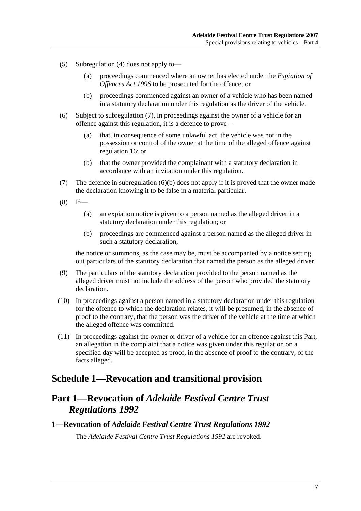- (5) Subregulation (4) does not apply to—
	- (a) proceedings commenced where an owner has elected under the *Expiation of Offences Act 1996* to be prosecuted for the offence; or
	- (b) proceedings commenced against an owner of a vehicle who has been named in a statutory declaration under this regulation as the driver of the vehicle.
- (6) Subject to subregulation (7), in proceedings against the owner of a vehicle for an offence against this regulation, it is a defence to prove—
	- (a) that, in consequence of some unlawful act, the vehicle was not in the possession or control of the owner at the time of the alleged offence against regulation 16; or
	- (b) that the owner provided the complainant with a statutory declaration in accordance with an invitation under this regulation.
- (7) The defence in subregulation (6)(b) does not apply if it is proved that the owner made the declaration knowing it to be false in a material particular.
- $(8)$  If—
	- (a) an expiation notice is given to a person named as the alleged driver in a statutory declaration under this regulation; or
	- (b) proceedings are commenced against a person named as the alleged driver in such a statutory declaration,

the notice or summons, as the case may be, must be accompanied by a notice setting out particulars of the statutory declaration that named the person as the alleged driver.

- (9) The particulars of the statutory declaration provided to the person named as the alleged driver must not include the address of the person who provided the statutory declaration.
- (10) In proceedings against a person named in a statutory declaration under this regulation for the offence to which the declaration relates, it will be presumed, in the absence of proof to the contrary, that the person was the driver of the vehicle at the time at which the alleged offence was committed.
- (11) In proceedings against the owner or driver of a vehicle for an offence against this Part, an allegation in the complaint that a notice was given under this regulation on a specified day will be accepted as proof, in the absence of proof to the contrary, of the facts alleged.

# **Schedule 1—Revocation and transitional provision**

# **Part 1—Revocation of** *Adelaide Festival Centre Trust Regulations 1992*

# **1—Revocation of** *Adelaide Festival Centre Trust Regulations 1992* The *Adelaide Festival Centre Trust Regulations 1992* are revoked.